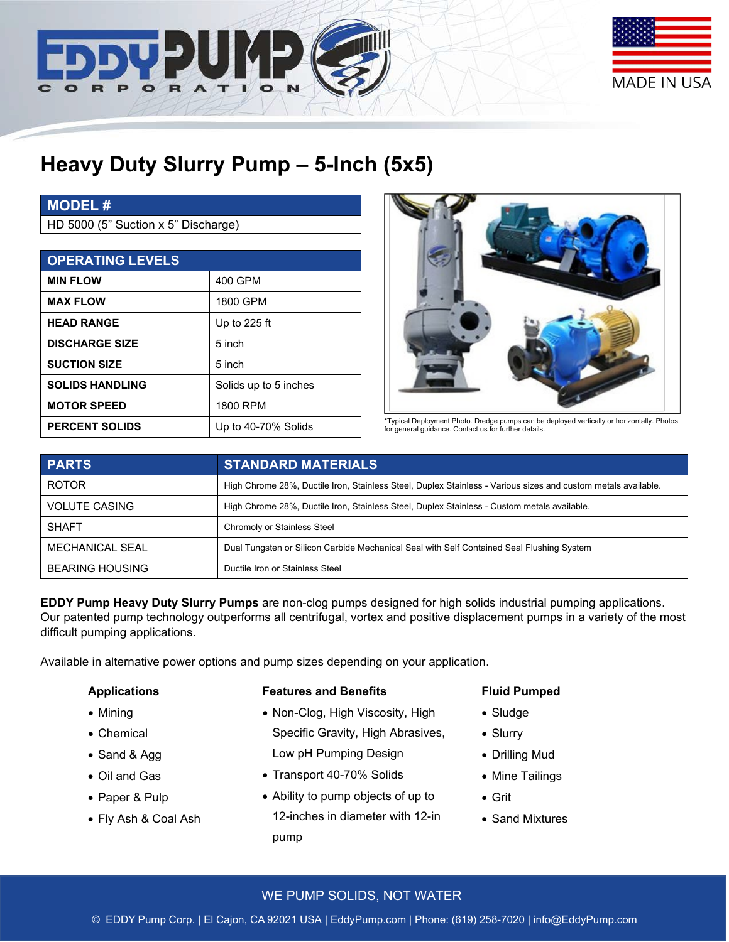



# **Heavy Duty Slurry Pump – 5-Inch (5x5)**

## **MODEL #**

HD 5000 (5" Suction x 5" Discharge)

| <b>OPERATING LEVELS</b> |                       |                                                                                                                                                     |
|-------------------------|-----------------------|-----------------------------------------------------------------------------------------------------------------------------------------------------|
| <b>MIN FLOW</b>         | 400 GPM               |                                                                                                                                                     |
| <b>MAX FLOW</b>         | 1800 GPM              |                                                                                                                                                     |
| <b>HEAD RANGE</b>       | Up to 225 ft          |                                                                                                                                                     |
| <b>DISCHARGE SIZE</b>   | 5 inch                |                                                                                                                                                     |
| <b>SUCTION SIZE</b>     | 5 inch                |                                                                                                                                                     |
| <b>SOLIDS HANDLING</b>  | Solids up to 5 inches |                                                                                                                                                     |
| <b>MOTOR SPEED</b>      | 1800 RPM              |                                                                                                                                                     |
| <b>PERCENT SOLIDS</b>   | Up to 40-70% Solids   | *Typical Deployment Photo. Dredge pumps can be deployed vertically or horizontally. Photos<br>for general guidance. Contact us for further details. |



| <b>PARTS</b>           | <b>STANDARD MATERIALS</b>                                                                                     |  |
|------------------------|---------------------------------------------------------------------------------------------------------------|--|
| <b>ROTOR</b>           | High Chrome 28%, Ductile Iron, Stainless Steel, Duplex Stainless - Various sizes and custom metals available. |  |
| <b>VOLUTE CASING</b>   | High Chrome 28%, Ductile Iron, Stainless Steel, Duplex Stainless - Custom metals available.                   |  |
| <b>SHAFT</b>           | Chromoly or Stainless Steel                                                                                   |  |
| MECHANICAL SEAL        | Dual Tungsten or Silicon Carbide Mechanical Seal with Self Contained Seal Flushing System                     |  |
| <b>BEARING HOUSING</b> | Ductile Iron or Stainless Steel                                                                               |  |

**EDDY Pump Heavy Duty Slurry Pumps** are non-clog pumps designed for high solids industrial pumping applications. Our patented pump technology outperforms all centrifugal, vortex and positive displacement pumps in a variety of the most difficult pumping applications.

Available in alternative power options and pump sizes depending on your application.

#### **Applications**

- Mining
- Chemical
- Sand & Agg
- Oil and Gas
- Paper & Pulp
- Fly Ash & Coal Ash

#### **Features and Benefits**

- Non-Clog, High Viscosity, High Specific Gravity, High Abrasives, Low pH Pumping Design
- Transport 40-70% Solids
- Ability to pump objects of up to 12-inches in diameter with 12-in pump

#### **Fluid Pumped**

- Sludge
- Slurry
- Drilling Mud
- Mine Tailings
- Grit
- Sand Mixtures

#### WE PUMP SOLIDS, NOT WATER